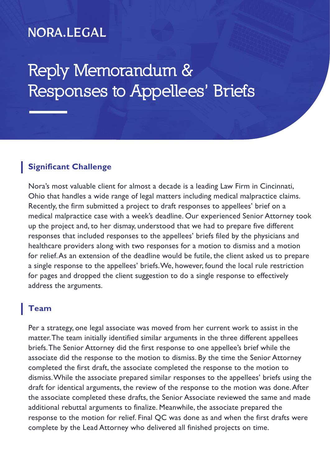# **NORA.LEGAL**

# **Reply Memorandum & Responses to Appellees' Briefs**

#### **Significant Challenge**

Nora's most valuable client for almost a decade is a leading Law Firm in Cincinnati, Ohio that handles a wide range of legal matters including medical malpractice claims. Recently, the firm submitted a project to draft responses to appellees' brief on a medical malpractice case with a week's deadline. Our experienced Senior Attorney took up the project and, to her dismay, understood that we had to prepare five different responses that included responses to the appellees' briefs filed by the physicians and healthcare providers along with two responses for a motion to dismiss and a motion for relief. As an extension of the deadline would be futile, the client asked us to prepare a single response to the appellees' briefs. We, however, found the local rule restriction for pages and dropped the client suggestion to do a single response to effectively address the arguments.

## **Team**

Per a strategy, one legal associate was moved from her current work to assist in the matter. The team initially identified similar arguments in the three different appellees briefs. The Senior Attorney did the first response to one appellee's brief while the associate did the response to the motion to dismiss. By the time the Senior Attorney completed the first draft, the associate completed the response to the motion to dismiss. While the associate prepared similar responses to the appellees' briefs using the draft for identical arguments, the review of the response to the motion was done. After the associate completed these drafts, the Senior Associate reviewed the same and made additional rebuttal arguments to finalize. Meanwhile, the associate prepared the response to the motion for relief. Final QC was done as and when the first drafts were complete by the Lead Attorney who delivered all finished projects on time.